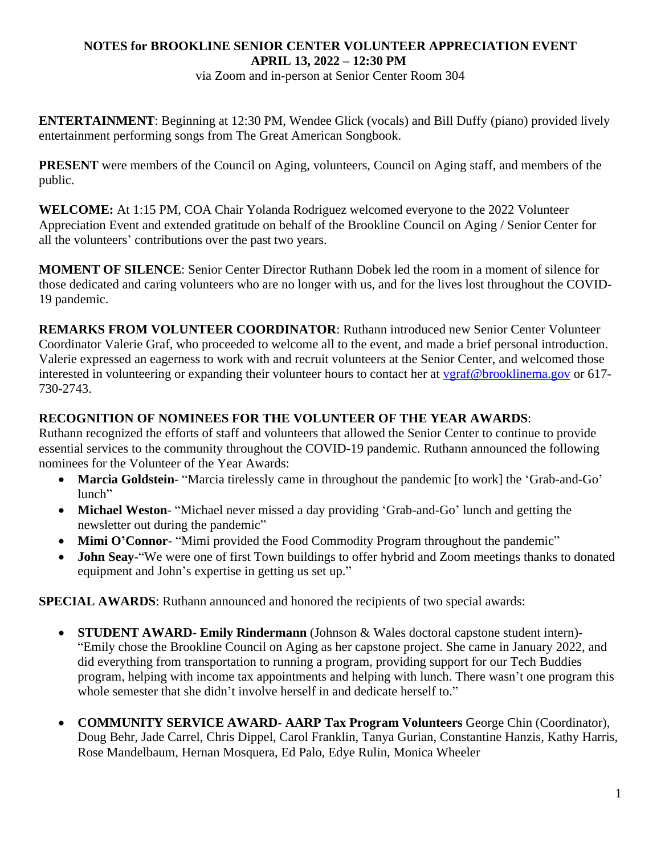## **NOTES for BROOKLINE SENIOR CENTER VOLUNTEER APPRECIATION EVENT APRIL 13, 2022 – 12:30 PM**

via Zoom and in-person at Senior Center Room 304

**ENTERTAINMENT**: Beginning at 12:30 PM, Wendee Glick (vocals) and Bill Duffy (piano) provided lively entertainment performing songs from The Great American Songbook.

**PRESENT** were members of the Council on Aging, volunteers, Council on Aging staff, and members of the public.

**WELCOME:** At 1:15 PM, COA Chair Yolanda Rodriguez welcomed everyone to the 2022 Volunteer Appreciation Event and extended gratitude on behalf of the Brookline Council on Aging / Senior Center for all the volunteers' contributions over the past two years.

**MOMENT OF SILENCE**: Senior Center Director Ruthann Dobek led the room in a moment of silence for those dedicated and caring volunteers who are no longer with us, and for the lives lost throughout the COVID-19 pandemic.

**REMARKS FROM VOLUNTEER COORDINATOR**: Ruthann introduced new Senior Center Volunteer Coordinator Valerie Graf, who proceeded to welcome all to the event, and made a brief personal introduction. Valerie expressed an eagerness to work with and recruit volunteers at the Senior Center, and welcomed those interested in volunteering or expanding their volunteer hours to contact her at [vgraf@brooklinema.gov](mailto:vgraf@brooklinema.gov) or 617-730-2743.

## **RECOGNITION OF NOMINEES FOR THE VOLUNTEER OF THE YEAR AWARDS**:

Ruthann recognized the efforts of staff and volunteers that allowed the Senior Center to continue to provide essential services to the community throughout the COVID-19 pandemic. Ruthann announced the following nominees for the Volunteer of the Year Awards:

- **Marcia Goldstein** "Marcia tirelessly came in throughout the pandemic [to work] the 'Grab-and-Go' lunch"
- **Michael Weston** "Michael never missed a day providing 'Grab-and-Go' lunch and getting the newsletter out during the pandemic"
- **Mimi O'Connor-** "Mimi provided the Food Commodity Program throughout the pandemic"
- **John Seay**-"We were one of first Town buildings to offer hybrid and Zoom meetings thanks to donated equipment and John's expertise in getting us set up."

**SPECIAL AWARDS:** Ruthann announced and honored the recipients of two special awards:

- **STUDENT AWARD Emily Rindermann** (Johnson & Wales doctoral capstone student intern)- "Emily chose the Brookline Council on Aging as her capstone project. She came in January 2022, and did everything from transportation to running a program, providing support for our Tech Buddies program, helping with income tax appointments and helping with lunch. There wasn't one program this whole semester that she didn't involve herself in and dedicate herself to."
- **COMMUNITY SERVICE AWARD AARP Tax Program Volunteers** George Chin (Coordinator), Doug Behr, Jade Carrel, Chris Dippel, Carol Franklin, Tanya Gurian, Constantine Hanzis, Kathy Harris, Rose Mandelbaum, Hernan Mosquera, Ed Palo, Edye Rulin, Monica Wheeler